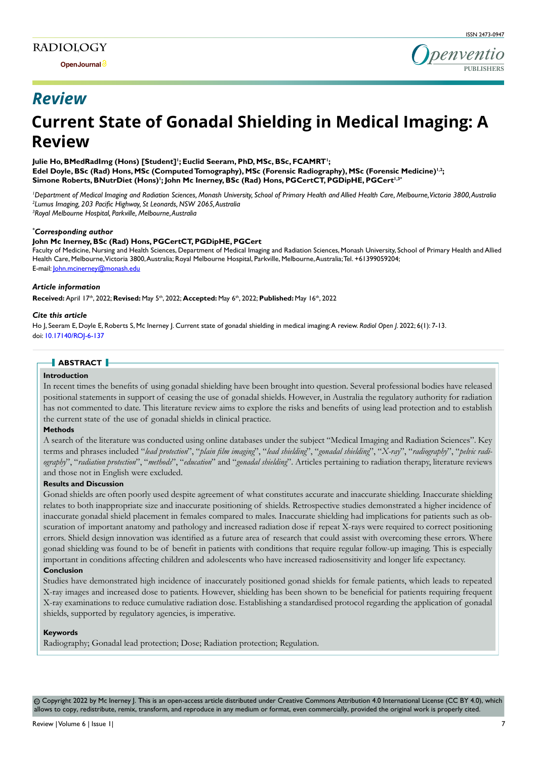

## *Review*

# **Current State of Gonadal Shielding in Medical Imaging: A Review**

Julie Ho, BMedRadImg (Hons) [Student]'; Euclid Seeram, PhD, MSc, BSc, FCAMRT'; Edel Doyle, BSc (Rad) Hons, MSc (Computed Tomography), MSc (Forensic Radiography), MSc (Forensic Medicine)<sup>1,2</sup>;  $\mathbf{Simone}$  Roberts, BNutrDiet (Hons)'; John Mc Inerney, BSc (Rad) Hons, PGCertCT, PGDipHE, PGCert<sup>1,3\*</sup>

<sup>1</sup>Department of Medical Imaging and Radiation Sciences, Monash University, School of Primary Health and Allied Health Care, Melbourne, Victoria 3800, Australia *2 Lumus Imaging, 203 Pacific Highway, St Leonards, NSW 2065, Australia 3 Royal Melbourne Hospital, Parkville, Melbourne, Australia*

#### *\* Corresponding author*

#### **John Mc Inerney, BSc (Rad) Hons, PGCertCT, PGDipHE, PGCert**

Faculty of Medicine, Nursing and Health Sciences, Department of Medical Imaging and Radiation Sciences, Monash University, School of Primary Health and Allied Health Care, Melbourne, Victoria 3800, Australia; Royal Melbourne Hospital, Parkville, Melbourne, Australia; Tel. +61399059204; E-mail: John.mcinerney@monash.edu

#### *Article information*

**Received:** April 17th, 2022; **Revised:** May 5th, 2022; **Accepted:** May 6th, 2022; **Published:** May 16th, 2022

#### *Cite this article*

Ho J, Seeram E, Doyle E, Roberts S, Mc Inerney J. Current state of gonadal shielding in medical imaging: A review. *Radiol Open J*. 2022; 6(1): 7-13. doi: [10.17140/ROJ-6-137](http://dx.doi.org/10.17140/ROJ-6-137)

## **ABSTRACT**

#### **Introduction**

In recent times the benefits of using gonadal shielding have been brought into question. Several professional bodies have released positional statements in support of ceasing the use of gonadal shields. However, in Australia the regulatory authority for radiation has not commented to date. This literature review aims to explore the risks and benefits of using lead protection and to establish the current state of the use of gonadal shields in clinical practice.

#### **Methods**

A search of the literature was conducted using online databases under the subject "Medical Imaging and Radiation Sciences". Key terms and phrases included "*lead protection*", "*plain film imaging*", "*lead shielding*", "*gonadal shielding*", "*X-ray*", "*radiography*", "*pelvic radiography*", "*radiation protection*", "*methods*", "*education*" and "*gonadal shielding*". Articles pertaining to radiation therapy, literature reviews and those not in English were excluded.

#### **Results and Discussion**

Gonad shields are often poorly used despite agreement of what constitutes accurate and inaccurate shielding. Inaccurate shielding relates to both inappropriate size and inaccurate positioning of shields. Retrospective studies demonstrated a higher incidence of inaccurate gonadal shield placement in females compared to males. Inaccurate shielding had implications for patients such as obscuration of important anatomy and pathology and increased radiation dose if repeat X-rays were required to correct positioning errors. Shield design innovation was identified as a future area of research that could assist with overcoming these errors. Where gonad shielding was found to be of benefit in patients with conditions that require regular follow-up imaging. This is especially important in conditions affecting children and adolescents who have increased radiosensitivity and longer life expectancy.

## **Conclusion**

Studies have demonstrated high incidence of inaccurately positioned gonad shields for female patients, which leads to repeated X-ray images and increased dose to patients. However, shielding has been shown to be beneficial for patients requiring frequent X-ray examinations to reduce cumulative radiation dose. Establishing a standardised protocol regarding the application of gonadal shields, supported by regulatory agencies, is imperative.

#### **Keywords**

Radiography; Gonadal lead protection; Dose; Radiation protection; Regulation.

 Copyright 2022 by Mc Inerney J. This is an open-access article distributed under Creative Commons Attribution 4.0 International License ([CC BY 4.0](https://creativecommons.org/licenses/by/4.0/)), which cc allows to copy, redistribute, remix, transform, and reproduce in any medium or format, even commercially, provided the original work is properly cited.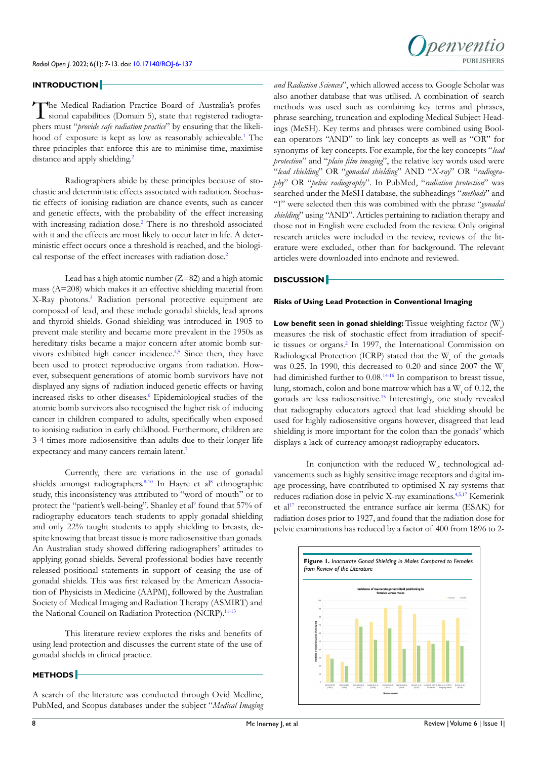

#### **INTRODUCTION**

The Medical Radiation Practice Board of Australia's professional capabilities (Domain 5), state that registered radiographers must "*provide safe radiation practice*" by ensuring that the likeli-hood of exposure is kept as low as reasonably achievable.<sup>[1](#page-4-0)</sup> The three principles that enforce this are to minimise time, maximise distance and apply shielding.<sup>[2](#page-4-1)</sup>

Radiographers abide by these principles because of stochastic and deterministic effects associated with radiation. Stochastic effects of ionising radiation are chance events, such as cancer and genetic effects, with the probability of the effect increasing with increasing radiation dose.<sup>[2](#page-4-1)</sup> There is no threshold associated with it and the effects are most likely to occur later in life. A deterministic effect occurs once a threshold is reached, and the biologi-cal response of the effect increases with radiation dose.<sup>[2](#page-4-1)</sup>

Lead has a high atomic number  $(Z=82)$  and a high atomic mass (A=208) which makes it an effective shielding material from X-Ray photons.[3](#page-4-2) Radiation personal protective equipment are composed of lead, and these include gonadal shields, lead aprons and thyroid shields. Gonad shielding was introduced in 1905 to prevent male sterility and became more prevalent in the 1950s as hereditary risks became a major concern after atomic bomb survivors exhibited high cancer incidence.<sup>4,5</sup> Since then, they have been used to protect reproductive organs from radiation. However, subsequent generations of atomic bomb survivors have not displayed any signs of radiation induced genetic effects or having increased risks to other diseases.<sup>[6](#page-5-1)</sup> Epidemiological studies of the atomic bomb survivors also recognised the higher risk of inducing cancer in children compared to adults, specifically when exposed to ionising radiation in early childhood. Furthermore, children are 3-4 times more radiosensitive than adults due to their longer life expectancy and many cancers remain latent.<sup>[7](#page-5-2)</sup>

Currently, there are variations in the use of gonadal shields amongst radiographers.<sup>8-10</sup> In Hayre et al<sup>8</sup> ethnographic study, this inconsistency was attributed to "word of mouth" or to protect the "patient's well-being". Shanley et al<sup>[9](#page-5-4)</sup> found that 57% of radiography educators teach students to apply gonadal shielding and only 22% taught students to apply shielding to breasts, despite knowing that breast tissue is more radiosensitive than gonads. An Australian study showed differing radiographers' attitudes to applying gonad shields. Several professional bodies have recently released positional statements in support of ceasing the use of gonadal shields. This was first released by the American Association of Physicists in Medicine (AAPM), followed by the Australian Society of Medical Imaging and Radiation Therapy (ASMIRT) and the National Council on Radiation Protection (NCRP).<sup>[11-13](#page-5-5)</sup>

This literature review explores the risks and benefits of using lead protection and discusses the current state of the use of gonadal shields in clinical practice.

#### **METHODS**

A search of the literature was conducted through Ovid Medline, PubMed, and Scopus databases under the subject "*Medical Imaging* 

*and Radiation Sciences*", which allowed access to. Google Scholar was also another database that was utilised. A combination of search methods was used such as combining key terms and phrases, phrase searching, truncation and exploding Medical Subject Headings (MeSH). Key terms and phrases were combined using Boolean operators "AND" to link key concepts as well as "OR" for synonyms of key concepts. For example, for the key concepts "*lead protection*" and "*plain film imaging*", the relative key words used were "*lead shielding*" OR "*gonadal shielding*" AND "*X-ray*" OR "*radiography*" OR "*pelvic radiography*". In PubMed, "*radiation protection*" was searched under the MeSH database, the subheadings "*methods*" and "I" were selected then this was combined with the phrase "*gonadal shielding*" using "AND". Articles pertaining to radiation therapy and those not in English were excluded from the review. Only original research articles were included in the review, reviews of the literature were excluded, other than for background. The relevant articles were downloaded into endnote and reviewed.

#### **DISCUSSION**

### **Risks of Using Lead Protection in Conventional Imaging**

**Low benefit seen in gonad shielding:** Tissue weighting factor (W<sub>v</sub>) measures the risk of stochastic effect from irradiation of specif-ic tissues or organs.<sup>[2](#page-4-1)</sup> In 1997, the International Commission on Radiological Protection (ICRP) stated that the  $W_t$  of the gonads was 0.25. In 1990, this decreased to 0.20 and since  $2007$  the W had diminished further to  $0.08^{14-16}$  $0.08^{14-16}$  $0.08^{14-16}$  In comparison to breast tissue, lung, stomach, colon and bone marrow which has a  $\rm W_{_t}$  of 0.12, the gonads are less radiosensitive[.15](#page-5-7) Interestingly, one study revealed that radiography educators agreed that lead shielding should be used for highly radiosensitive organs however, disagreed that lead shielding is more important for the colon than the gonads<sup>[9](#page-5-4)</sup> which displays a lack of currency amongst radiography educators.

In conjunction with the reduced  $W_{t}$ , technological advancements such as highly sensitive image receptors and digital image processing, have contributed to optimised X-ray systems that reduces radiation dose in pelvic X-ray examinations.<sup>[4,5,](#page-5-0)[17](#page-5-8)</sup> Kemerink et al<sup>[17](#page-5-8)</sup> reconstructed the entrance surface air kerma (ESAK) for radiation doses prior to 1927, and found that the radiation dose for pelvic examinations has reduced by a factor of 400 from 1896 to 2-

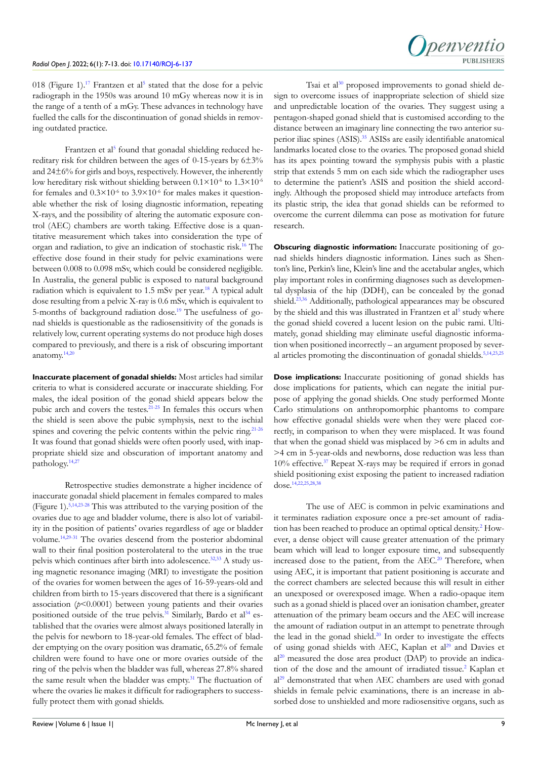

018 (Figure 1).<sup>[17](#page-5-8)</sup> Frantzen et al<sup>5</sup> stated that the dose for a pelvic radiograph in the 1950s was around 10 mGy whereas now it is in the range of a tenth of a mGy. These advances in technology have fuelled the calls for the discontinuation of gonad shields in removing outdated practice.

Frantzen et al<sup>[5](#page-5-9)</sup> found that gonadal shielding reduced hereditary risk for children between the ages of 0-15-years by 6±3% and 24±6% for girls and boys, respectively. However, the inherently low hereditary risk without shielding between  $0.1 \times 10^{-6}$  to  $1.3 \times 10^{-6}$ for females and  $0.3 \times 10^{-6}$  to  $3.9 \times 10^{-6}$  for males makes it questionable whether the risk of losing diagnostic information, repeating X-rays, and the possibility of altering the automatic exposure control (AEC) chambers are worth taking. Effective dose is a quantitative measurement which takes into consideration the type of organ and radiation, to give an indication of stochastic risk.[16](#page-5-10) The effective dose found in their study for pelvic examinations were between 0.008 to 0.098 mSv, which could be considered negligible. In Australia, the general public is exposed to natural background radiation which is equivalent to  $1.5$  mSv per year.<sup>18</sup> A typical adult dose resulting from a pelvic X-ray is 0.6 mSv, which is equivalent to 5-months of background radiation dose.[19](#page-5-12) The usefulness of gonad shields is questionable as the radiosensitivity of the gonads is relatively low, current operating systems do not produce high doses compared to previously, and there is a risk of obscuring important anatomy. $14,20$  $14,20$ 

**Inaccurate placement of gonadal shields:** Most articles had similar criteria to what is considered accurate or inaccurate shielding. For males, the ideal position of the gonad shield appears below the pubic arch and covers the testes. $21-25$  In females this occurs when the shield is seen above the pubic symphysis, next to the ischial spines and covering the pelvic contents within the pelvic ring.<sup>[21-26](#page-5-14)</sup> It was found that gonad shields were often poorly used, with inappropriate shield size and obscuration of important anatomy and pathology[.14,](#page-5-6)[27](#page-5-15)

Retrospective studies demonstrate a higher incidence of inaccurate gonadal shield placement in females compared to males (Figure 1).[5,](#page-5-9)[14,](#page-5-6)[23-28](#page-5-16) This was attributed to the varying position of the ovaries due to age and bladder volume, there is also lot of variability in the position of patients' ovaries regardless of age or bladder volume.[14,](#page-5-6)[29-31](#page-6-0) The ovaries descend from the posterior abdominal wall to their final position posterolateral to the uterus in the true pelvis which continues after birth into adolescence.<sup>32,33</sup> A study using magnetic resonance imaging (MRI) to investigate the position of the ovaries for women between the ages of 16-59-years-old and children from birth to 15-years discovered that there is a significant association  $(p<0.0001)$  between young patients and their ovaries positioned outside of the true pelvis.<sup>[31](#page-6-2)</sup> Similarly, Bardo et  $al^{34}$  established that the ovaries were almost always positioned laterally in the pelvis for newborn to 18-year-old females. The effect of bladder emptying on the ovary position was dramatic, 65.2% of female children were found to have one or more ovaries outside of the ring of the pelvis when the bladder was full, whereas 27.8% shared the same result when the bladder was empty.<sup>[31](#page-6-2)</sup> The fluctuation of where the ovaries lie makes it difficult for radiographers to successfully protect them with gonad shields.

Tsai et al<sup>30</sup> proposed improvements to gonad shield design to overcome issues of inappropriate selection of shield size and unpredictable location of the ovaries. They suggest using a pentagon-shaped gonad shield that is customised according to the distance between an imaginary line connecting the two anterior superior iliac spines (ASIS).<sup>35</sup> ASISs are easily identifiable anatomical landmarks located close to the ovaries. The proposed gonad shield has its apex pointing toward the symphysis pubis with a plastic strip that extends 5 mm on each side which the radiographer uses to determine the patient's ASIS and position the shield accordingly. Although the proposed shield may introduce artefacts from its plastic strip, the idea that gonad shields can be reformed to overcome the current dilemma can pose as motivation for future research.

**Obscuring diagnostic information:** Inaccurate positioning of gonad shields hinders diagnostic information. Lines such as Shenton's line, Perkin's line, Klein's line and the acetabular angles, which play important roles in confirming diagnoses such as developmental dysplasia of the hip (DDH), can be concealed by the gonad shield.<sup>23,36</sup> Additionally, pathological appearances may be obscured by the shield and this was illustrated in Frantzen et al<sup>[5](#page-5-9)</sup> study where the gonad shield covered a lucent lesion on the pubic rami. Ultimately, gonad shielding may eliminate useful diagnostic information when positioned incorrectly – an argument proposed by sever-al articles promoting the discontinuation of gonadal shields.<sup>[5,](#page-5-9)[14,](#page-5-6)[23,](#page-5-16)[25](#page-5-17)</sup>

**Dose implications:** Inaccurate positioning of gonad shields has dose implications for patients, which can negate the initial purpose of applying the gonad shields. One study performed Monte Carlo stimulations on anthropomorphic phantoms to compare how effective gonadal shields were when they were placed correctly, in comparison to when they were misplaced. It was found that when the gonad shield was misplaced by >6 cm in adults and >4 cm in 5-year-olds and newborns, dose reduction was less than 10% effective.[37](#page-6-7) Repeat X-rays may be required if errors in gonad shield positioning exist exposing the patient to increased radiation dose.[14,](#page-5-6)[22,](#page-5-18)[25,](#page-5-17)[28,](#page-6-8)[38](#page-6-9)

The use of AEC is common in pelvic examinations and it terminates radiation exposure once a pre-set amount of radiation has been reached to produce an optimal optical density.[2](#page-4-1) However, a dense object will cause greater attenuation of the primary beam which will lead to longer exposure time, and subsequently increased dose to the patient, from the AEC.<sup>[20](#page-5-13)</sup> Therefore, when using AEC, it is important that patient positioning is accurate and the correct chambers are selected because this will result in either an unexposed or overexposed image. When a radio-opaque item such as a gonad shield is placed over an ionisation chamber, greater attenuation of the primary beam occurs and the AEC will increase the amount of radiation output in an attempt to penetrate through the lead in the gonad shield.<sup>20</sup> In order to investigate the effects of using gonad shields with AEC, Kaplan et al<sup>[29](#page-6-0)</sup> and Davies et al<sup>[20](#page-5-13)</sup> measured the dose area product (DAP) to provide an indica-tion of the dose and the amount of irradiated tissue.<sup>[2](#page-4-1)</sup> Kaplan et al<sup>[29](#page-6-0)</sup> demonstrated that when AEC chambers are used with gonad shields in female pelvic examinations, there is an increase in absorbed dose to unshielded and more radiosensitive organs, such as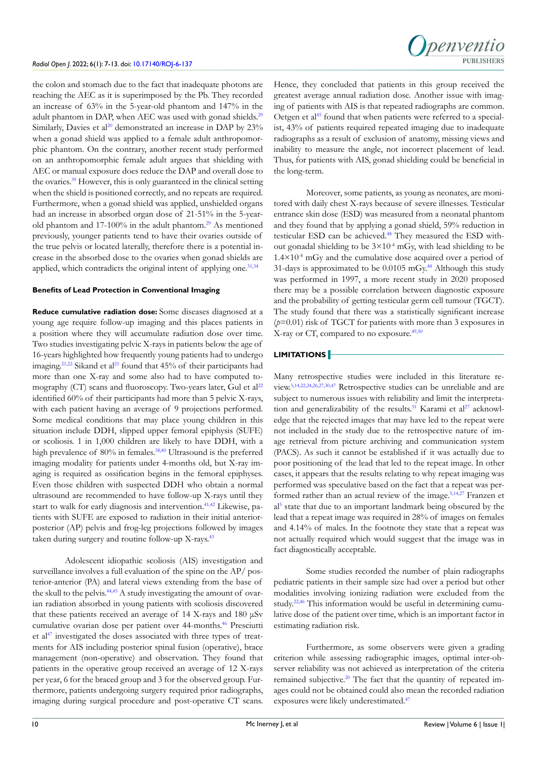the colon and stomach due to the fact that inadequate photons are reaching the AEC as it is superimposed by the Pb. They recorded an increase of 63% in the 5-year-old phantom and 147% in the adult phantom in DAP, when AEC was used with gonad shields.<sup>29</sup> Similarly, Davies et al<sup>20</sup> demonstrated an increase in DAP by  $23\%$ when a gonad shield was applied to a female adult anthropomorphic phantom. On the contrary, another recent study performed on an anthropomorphic female adult argues that shielding with AEC or manual exposure does reduce the DAP and overall dose to the ovaries[.39](#page-6-10) However, this is only guaranteed in the clinical setting when the shield is positioned correctly, and no repeats are required. Furthermore, when a gonad shield was applied, unshielded organs had an increase in absorbed organ dose of 21-51% in the 5-yearold phantom and  $17-100\%$  in the adult phantom.<sup>29</sup> As mentioned previously, younger patients tend to have their ovaries outside of the true pelvis or located laterally, therefore there is a potential increase in the absorbed dose to the ovaries when gonad shields are applied, which contradicts the original intent of applying one.<sup>31,[34](#page-6-3)</sup>

#### **Benefits of Lead Protection in Conventional Imaging**

**Reduce cumulative radiation dose:** Some diseases diagnosed at a young age require follow-up imaging and this places patients in a position where they will accumulate radiation dose over time. Two studies investigating pelvic X-rays in patients below the age of 16-years highlighted how frequently young patients had to undergo imaging.<sup>[21](#page-5-14),22</sup> Sikand et al<sup>21</sup> found that 45% of their participants had more than one X-ray and some also had to have computed tomography (CT) scans and fluoroscopy. Two-years later, Gul et  $al^{22}$ identified 60% of their participants had more than 5 pelvic X-rays, with each patient having an average of 9 projections performed. Some medical conditions that may place young children in this situation include DDH, slipped upper femoral epiphysis (SUFE) or scoliosis. 1 in 1,000 children are likely to have DDH, with a high prevalence of 80% in females.<sup>[38,](#page-6-9)[40](#page-6-11)</sup> Ultrasound is the preferred imaging modality for patients under 4-months old, but X-ray imaging is required as ossification begins in the femoral epiphyses. Even those children with suspected DDH who obtain a normal ultrasound are recommended to have follow-up X-rays until they start to walk for early diagnosis and intervention.<sup>41,42</sup> Likewise, patients with SUFE are exposed to radiation in their initial anteriorposterior (AP) pelvis and frog-leg projections followed by images taken during surgery and routine follow-up X-rays.<sup>[43](#page-6-13)</sup>

Adolescent idiopathic scoliosis (AIS) investigation and surveillance involves a full evaluation of the spine on the AP/ posterior-anterior (PA) and lateral views extending from the base of the skull to the pelvis.<sup>44,45</sup> A study investigating the amount of ovarian radiation absorbed in young patients with scoliosis discovered that these patients received an average of 14 X-rays and 180 μSv cumulative ovarian dose per patient over 44-months.<sup>[46](#page-6-15)</sup> Presciutti et al $47$  investigated the doses associated with three types of treatments for AIS including posterior spinal fusion (operative), brace management (non-operative) and observation. They found that patients in the operative group received an average of 12 X-rays per year, 6 for the braced group and 3 for the observed group. Furthermore, patients undergoing surgery required prior radiographs, imaging during surgical procedure and post-operative CT scans.

Hence, they concluded that patients in this group received the greatest average annual radiation dose. Another issue with imaging of patients with AIS is that repeated radiographs are common. Oetgen et al<sup>45</sup> found that when patients were referred to a specialist, 43% of patients required repeated imaging due to inadequate radiographs as a result of exclusion of anatomy, missing views and inability to measure the angle, not incorrect placement of lead. Thus, for patients with AIS, gonad shielding could be beneficial in the long-term.

Moreover, some patients, as young as neonates, are monitored with daily chest X-rays because of severe illnesses. Testicular entrance skin dose (ESD) was measured from a neonatal phantom and they found that by applying a gonad shield, 59% reduction in testicular ESD can be achieved.<sup>[48](#page-6-18)</sup> They measured the ESD without gonadal shielding to be  $3\times10^{-4}$  mGy, with lead shielding to be  $1.4 \times 10^{-4}$  mGy and the cumulative dose acquired over a period of 31-days is approximated to be  $0.0105$  mGy.<sup>[48](#page-6-18)</sup> Although this study was performed in 1997, a more recent study in 2020 proposed there may be a possible correlation between diagnostic exposure and the probability of getting testicular germ cell tumour (TGCT). The study found that there was a statistically significant increase (*p*=0.01) risk of TGCT for patients with more than 3 exposures in X-ray or CT, compared to no exposure.<sup>49,50</sup>

## **LIMITATIONS**

Many retrospective studies were included in this literature review.[5,](#page-5-9)[14,](#page-5-6)[22,](#page-5-18)[24,](#page-5-19)[26,27,](#page-5-20)[30,](#page-6-4)[47](#page-6-16) Retrospective studies can be unreliable and are subject to numerous issues with reliability and limit the interpreta-tion and generalizability of the results.<sup>[51](#page-6-20)</sup> Karami et al<sup>[27](#page-5-15)</sup> acknowledge that the rejected images that may have led to the repeat were not included in the study due to the retrospective nature of image retrieval from picture archiving and communication system (PACS). As such it cannot be established if it was actually due to poor positioning of the lead that led to the repeat image. In other cases, it appears that the results relating to why repeat imaging was performed was speculative based on the fact that a repeat was performed rather than an actual review of the image.[5,](#page-5-9)[14,](#page-5-6)[27](#page-5-15) Franzen et al[5](#page-5-9) state that due to an important landmark being obscured by the lead that a repeat image was required in 28% of images on females and 4.14% of males. In the footnote they state that a repeat was not actually required which would suggest that the image was in fact diagnostically acceptable.

Some studies recorded the number of plain radiographs pediatric patients in their sample size had over a period but other modalities involving ionizing radiation were excluded from the study.<sup>[22,](#page-5-18)46</sup> This information would be useful in determining cumulative dose of the patient over time, which is an important factor in estimating radiation risk.

Furthermore, as some observers were given a grading criterion while assessing radiographic images, optimal inter-observer reliability was not achieved as interpretation of the criteria remained subjective.<sup>[20](#page-5-13)</sup> The fact that the quantity of repeated images could not be obtained could also mean the recorded radiation exposures were likely underestimated.[47](#page-6-16)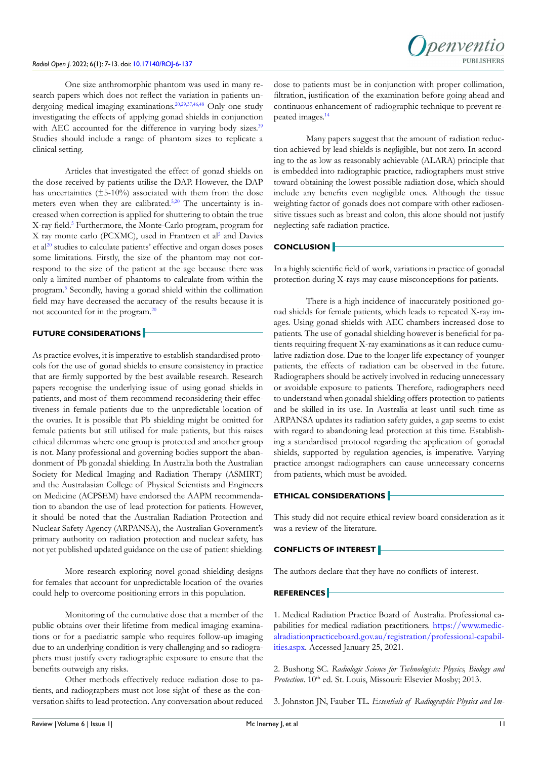#### *Radiol Open J*. 2022; 6(1): 7-13. doi: [10.17140/ROJ-6-137](http://dx.doi.org/10.17140/ROJ-6-137)

One size anthromorphic phantom was used in many research papers which does not reflect the variation in patients undergoing medical imaging examinations.[20,](#page-5-13)[29,](#page-6-0)[37,](#page-6-7)[46,](#page-6-15)[48](#page-6-18) Only one study investigating the effects of applying gonad shields in conjunction with AEC accounted for the difference in varying body sizes.<sup>39</sup> Studies should include a range of phantom sizes to replicate a clinical setting.

Articles that investigated the effect of gonad shields on the dose received by patients utilise the DAP. However, the DAP has uncertainties (±5-10%) associated with them from the dose meters even when they are calibrated.<sup>[5,](#page-5-9)[20](#page-5-13)</sup> The uncertainty is increased when correction is applied for shuttering to obtain the true X-ray field.<sup>5</sup> Furthermore, the Monte-Carlo program, program for X ray monte carlo (PCXMC), used in Frantzen et al<sup>[5](#page-5-9)</sup> and Davies et al<sup>[20](#page-5-13)</sup> studies to calculate patients' effective and organ doses poses some limitations. Firstly, the size of the phantom may not correspond to the size of the patient at the age because there was only a limited number of phantoms to calculate from within the program.[5](#page-5-9) Secondly, having a gonad shield within the collimation field may have decreased the accuracy of the results because it is not accounted for in the program.[20](#page-5-13)

## **FUTURE CONSIDERATIONS**

As practice evolves, it is imperative to establish standardised protocols for the use of gonad shields to ensure consistency in practice that are firmly supported by the best available research. Research papers recognise the underlying issue of using gonad shields in patients, and most of them recommend reconsidering their effectiveness in female patients due to the unpredictable location of the ovaries. It is possible that Pb shielding might be omitted for female patients but still utilised for male patients, but this raises ethical dilemmas where one group is protected and another group is not. Many professional and governing bodies support the abandonment of Pb gonadal shielding. In Australia both the Australian Society for Medical Imaging and Radiation Therapy (ASMIRT) and the Australasian College of Physical Scientists and Engineers on Medicine (ACPSEM) have endorsed the AAPM recommendation to abandon the use of lead protection for patients. However, it should be noted that the Australian Radiation Protection and Nuclear Safety Agency (ARPANSA), the Australian Government's primary authority on radiation protection and nuclear safety, has not yet published updated guidance on the use of patient shielding.

More research exploring novel gonad shielding designs for females that account for unpredictable location of the ovaries could help to overcome positioning errors in this population.

Monitoring of the cumulative dose that a member of the public obtains over their lifetime from medical imaging examinations or for a paediatric sample who requires follow-up imaging due to an underlying condition is very challenging and so radiographers must justify every radiographic exposure to ensure that the benefits outweigh any risks.

Other methods effectively reduce radiation dose to patients, and radiographers must not lose sight of these as the conversation shifts to lead protection. Any conversation about reduced dose to patients must be in conjunction with proper collimation, filtration, justification of the examination before going ahead and continuous enhancement of radiographic technique to prevent repeated images.[14](#page-5-6)

Many papers suggest that the amount of radiation reduction achieved by lead shields is negligible, but not zero. In according to the as low as reasonably achievable (ALARA) principle that is embedded into radiographic practice, radiographers must strive toward obtaining the lowest possible radiation dose, which should include any benefits even negligible ones. Although the tissue weighting factor of gonads does not compare with other radiosensitive tissues such as breast and colon, this alone should not justify neglecting safe radiation practice.

## **CONCLUSION**

In a highly scientific field of work, variations in practice of gonadal protection during X-rays may cause misconceptions for patients.

There is a high incidence of inaccurately positioned gonad shields for female patients, which leads to repeated X-ray images. Using gonad shields with AEC chambers increased dose to patients. The use of gonadal shielding however is beneficial for patients requiring frequent X-ray examinations as it can reduce cumulative radiation dose. Due to the longer life expectancy of younger patients, the effects of radiation can be observed in the future. Radiographers should be actively involved in reducing unnecessary or avoidable exposure to patients. Therefore, radiographers need to understand when gonadal shielding offers protection to patients and be skilled in its use. In Australia at least until such time as ARPANSA updates its radiation safety guides, a gap seems to exist with regard to abandoning lead protection at this time. Establishing a standardised protocol regarding the application of gonadal shields, supported by regulation agencies, is imperative. Varying practice amongst radiographers can cause unnecessary concerns from patients, which must be avoided.

#### **ETHICAL CONSIDERATIONS**

This study did not require ethical review board consideration as it was a review of the literature.

#### **CONFLICTS OF INTEREST**

The authors declare that they have no conflicts of interest.

#### **REFERENCES**

<span id="page-4-0"></span>1. Medical Radiation Practice Board of Australia. Professional capabilities for medical radiation practitioners. [https://www.medic](https://www.medicalradiationpracticeboard.gov.au/registration/professional-capabilities.aspx)[alradiationpracticeboard.gov.au/registration/professional-capabil](https://www.medicalradiationpracticeboard.gov.au/registration/professional-capabilities.aspx)[ities.aspx](https://www.medicalradiationpracticeboard.gov.au/registration/professional-capabilities.aspx). Accessed January 25, 2021.

<span id="page-4-1"></span>2. Bushong SC. *Radiologic Science for Technologists: Physics, Biology and*  Protection. 10<sup>th</sup> ed. St. Louis, Missouri: Elsevier Mosby; 2013.

<span id="page-4-2"></span>3. Johnston JN, Fauber TL. *Essentials of Radiographic Physics and Im-*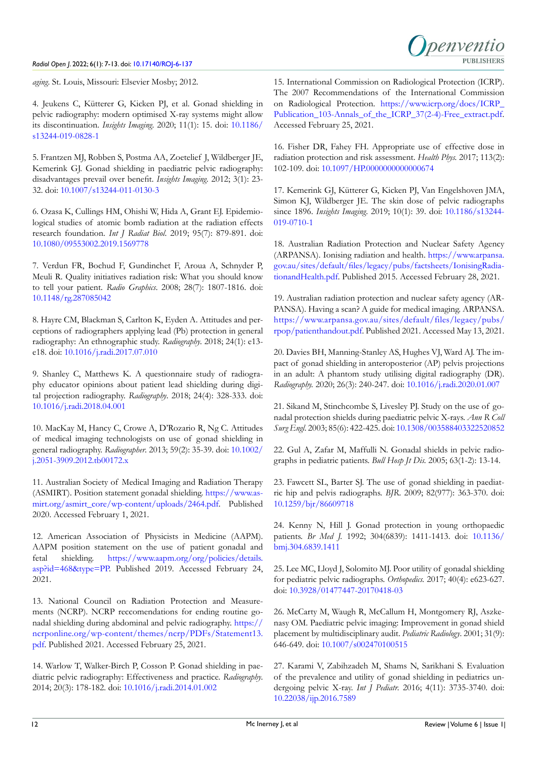#### *Radiol Open J*. 2022; 6(1): 7-13. doi: [10.17140/ROJ-6-137](http://dx.doi.org/10.17140/ROJ-6-137)



*aging*. St. Louis, Missouri: Elsevier Mosby; 2012.

<span id="page-5-0"></span>4. Jeukens C, Kütterer G, Kicken PJ, et al. Gonad shielding in pelvic radiography: modern optimised X-ray systems might allow its discontinuation. *Insights Imaging*. 2020; 11(1): 15. doi: [10.1186/](http://doi.org/10.1186/s13244-019-0828-1) [s13244-019-0828-1](http://doi.org/10.1186/s13244-019-0828-1)

<span id="page-5-9"></span>5. Frantzen MJ, Robben S, Postma AA, Zoetelief J, Wildberger JE, Kemerink GJ. Gonad shielding in paediatric pelvic radiography: disadvantages prevail over benefit. *Insights Imaging*. 2012; 3(1): 23- 32. doi: [10.1007/s13244-011-0130-3](http://doi.org/10.1007/s13244-011-0130-3)

<span id="page-5-1"></span>6. Ozasa K, Cullings HM, Ohishi W, Hida A, Grant EJ. Epidemiological studies of atomic bomb radiation at the radiation effects research foundation. *Int J Radiat Biol*. 2019; 95(7): 879-891. doi: [10.1080/09553002.2019.1569778](http://doi.org/10.1080/09553002.2019.1569778)

<span id="page-5-2"></span>7. Verdun FR, Bochud F, Gundinchet F, Aroua A, Schnyder P, Meuli R. Quality initiatives radiation risk: What you should know to tell your patient. *Radio Graphics*. 2008; 28(7): 1807-1816. doi: [10.1148/rg.287085042](http://doi.org/10.1148/rg.287085042)

<span id="page-5-3"></span>8. Hayre CM, Blackman S, Carlton K, Eyden A. Attitudes and perceptions of radiographers applying lead (Pb) protection in general radiography: An ethnographic study. *Radiography*. 2018; 24(1): e13 e18. doi: [10.1016/j.radi.2017.07.010](http://doi.org/10.1016/j.radi.2017.07.010)

<span id="page-5-4"></span>9. Shanley C, Matthews K. A questionnaire study of radiography educator opinions about patient lead shielding during digital projection radiography. *Radiography*. 2018; 24(4): 328-333. doi: [10.1016/j.radi.2018.04.001](http://doi.org/10.1016/j.radi.2018.04.001)

10. MacKay M, Hancy C, Crowe A, D'Rozario R, Ng C. Attitudes of medical imaging technologists on use of gonad shielding in general radiography. *Radiographer*. 2013; 59(2): 35-39. doi: [10.1002/](http://doi.org/10.1002/j.2051-3909.2012.tb00172.x) [j.2051-3909.2012.tb00172.x](http://doi.org/10.1002/j.2051-3909.2012.tb00172.x)

<span id="page-5-5"></span>11. Australian Society of Medical Imaging and Radiation Therapy (ASMIRT). Position statement gonadal shielding. [https://www.as](https://www.asmirt.org/asmirt_core/wp-content/uploads/2464.pdf)[mirt.org/asmirt\\_core/wp-content/uploads/2464.pdf](https://www.asmirt.org/asmirt_core/wp-content/uploads/2464.pdf). Published 2020. Accessed February 1, 2021.

12. American Association of Physicists in Medicine (AAPM). AAPM position statement on the use of patient gonadal and fetal shielding. [https://www.aapm.org/org/policies/details.](https://www.aapm.org/org/policies/details.asp?id=468&type=PP) [asp?id=468&type=PP.](https://www.aapm.org/org/policies/details.asp?id=468&type=PP) Published 2019. Accessed February 24, 2021.

13. National Council on Radiation Protection and Measurements (NCRP). NCRP reccomendations for ending routine gonadal shielding during abdominal and pelvic radiography. [https://](https://ncrponline.org/wp-content/themes/ncrp/PDFs/Statement13.pdf) [ncrponline.org/wp-content/themes/ncrp/PDFs/Statement13.](https://ncrponline.org/wp-content/themes/ncrp/PDFs/Statement13.pdf) [pdf](https://ncrponline.org/wp-content/themes/ncrp/PDFs/Statement13.pdf). Published 2021. Accessed February 25, 2021.

<span id="page-5-6"></span>14. Warlow T, Walker-Birch P, Cosson P. Gonad shielding in paediatric pelvic radiography: Effectiveness and practice. *Radiography*. 2014; 20(3): 178-182. doi: [10.1016/j.radi.2014.01.002](http://doi.org/10.1016/j.radi.2014.01.002)

<span id="page-5-7"></span>15. International Commission on Radiological Protection (ICRP). The 2007 Recommendations of the International Commission on Radiological Protection. [https://www.icrp.org/docs/ICRP\\_](https://www.icrp.org/docs/ICRP_Publication_103-Annals_of_the_ICRP_37(2-4)-Free_extract.pdf) Publication 103-Annals of the ICRP 37(2-4)-Free extract.pdf. Accessed February 25, 2021.

<span id="page-5-10"></span>16. Fisher DR, Fahey FH. Appropriate use of effective dose in radiation protection and risk assessment. *Health Phys.* 2017; 113(2): 102-109. doi: [10.1097/HP.0000000000000674](http://doi.org/10.1097/HP.0000000000000674)

<span id="page-5-8"></span>17. Kemerink GJ, Kütterer G, Kicken PJ, Van Engelshoven JMA, Simon KJ, Wildberger JE. The skin dose of pelvic radiographs since 1896. *Insights Imaging*. 2019; 10(1): 39. doi: [10.1186/s13244-](http://doi.org/10.1186/s13244-019-0710-1) [019-0710-1](http://doi.org/10.1186/s13244-019-0710-1)

<span id="page-5-11"></span>18. Australian Radiation Protection and Nuclear Safety Agency (ARPANSA). Ionising radiation and health. [https://www.arpansa.](https://www.arpansa.gov.au/sites/default/files/legacy/pubs/factsheets/IonisingRadiationandHealth.pdf) [gov.au/sites/default/files/legacy/pubs/factsheets/IonisingRadia](https://www.arpansa.gov.au/sites/default/files/legacy/pubs/factsheets/IonisingRadiationandHealth.pdf)[tionandHealth.pdf.](https://www.arpansa.gov.au/sites/default/files/legacy/pubs/factsheets/IonisingRadiationandHealth.pdf) Published 2015. Accessed February 28, 2021.

<span id="page-5-12"></span>19. Australian radiation protection and nuclear safety agency (AR-PANSA). Having a scan? A guide for medical imaging. ARPANSA. [https://www.arpansa.gov.au/sites/default/files/legacy/pubs/](https://www.arpansa.gov.au/sites/default/files/legacy/pubs/rpop/patienthandout.pdf) [rpop/patienthandout.pdf](https://www.arpansa.gov.au/sites/default/files/legacy/pubs/rpop/patienthandout.pdf). Published 2021. Accessed May 13, 2021.

<span id="page-5-13"></span>20. Davies BH, Manning-Stanley AS, Hughes VJ, Ward AJ. The impact of gonad shielding in anteroposterior (AP) pelvis projections in an adult: A phantom study utilising digital radiography (DR). *Radiography.* 2020; 26(3): 240-247. doi: [10.1016/j.radi.2020.01.007](http://doi.org/10.1016/j.radi.2020.01.007)

<span id="page-5-14"></span>21. Sikand M, Stinchcombe S, Livesley PJ. Study on the use of gonadal protection shields during paediatric pelvic X-rays. *Ann R Coll Surg Engl*. 2003; 85(6): 422-425. doi: [10.1308/003588403322520852](http://doi.org/10.1308/003588403322520852)

<span id="page-5-18"></span>22. Gul A, Zafar M, Maffulli N. Gonadal shields in pelvic radiographs in pediatric patients. *Bull Hosp Jt Dis.* 2005; 63(1-2): 13-14.

<span id="page-5-16"></span>23. Fawcett SL, Barter SJ. The use of gonad shielding in paediatric hip and pelvis radiographs. *BJR*. 2009; 82(977): 363-370. doi: [10.1259/bjr/86609718](http://doi.org/10.1259/bjr/86609718)

<span id="page-5-19"></span>24. Kenny N, Hill J. Gonad protection in young orthopaedic patients. *Br Med J.* 1992; 304(6839): 1411-1413. doi: [10.1136/](http://doi.org/10.1136/bmj.304.6839.1411) [bmj.304.6839.1411](http://doi.org/10.1136/bmj.304.6839.1411)

<span id="page-5-17"></span>25. Lee MC, Lloyd J, Solomito MJ. Poor utility of gonadal shielding for pediatric pelvic radiographs. *Orthopedics.* 2017; 40(4): e623-627. doi: [10.3928/01477447-20170418-03](http://doi.org/10.3928/01477447-20170418-03)

<span id="page-5-20"></span>26. McCarty M, Waugh R, McCallum H, Montgomery RJ, Aszkenasy OM. Paediatric pelvic imaging: Improvement in gonad shield placement by multidisciplinary audit. *Pediatric Radiology*. 2001; 31(9): 646-649. doi: [10.1007/s002470100515](http://doi.org/10.1007/s002470100515)

<span id="page-5-15"></span>27. Karami V, Zabihzadeh M, Shams N, Sarikhani S. Evaluation of the prevalence and utility of gonad shielding in pediatrics undergoing pelvic X-ray. *Int J Pediatr.* 2016; 4(11): 3735-3740. doi: [10.22038/ijp.2016.7589](http://doi.org/10.22038/ijp.2016.7589)